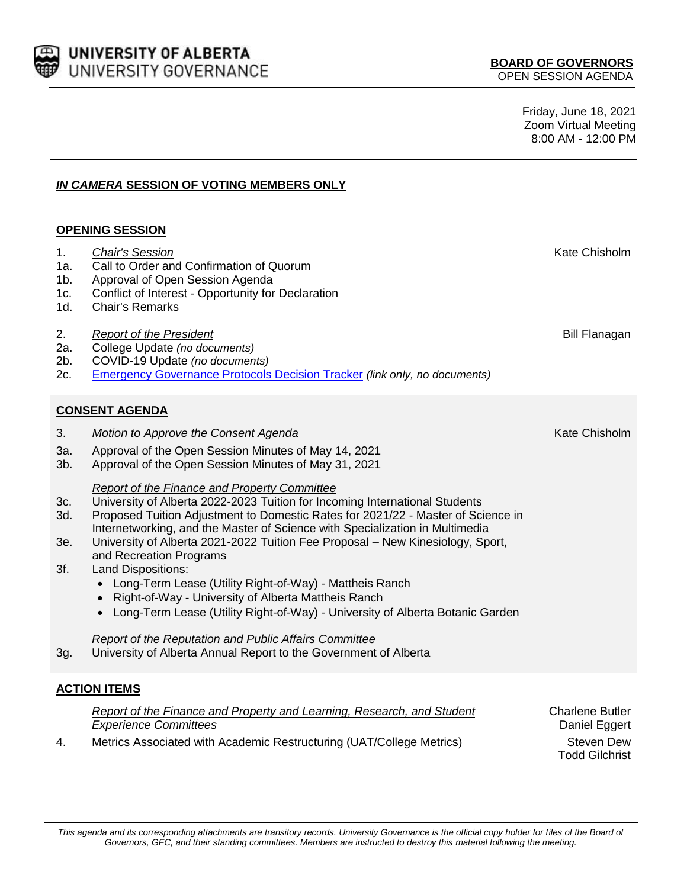

Friday, June 18, 2021 Zoom Virtual Meeting 8:00 AM - 12:00 PM

# *IN CAMERA* **SESSION OF VOTING MEMBERS ONLY**

### **OPENING SESSION**

- 1. Chair's Session **Kate Chisholm Kate Chisholm Kate Chisholm** 1a. Call to Order and Confirmation of Quorum 1b. Approval of Open Session Agenda 1c. Conflict of Interest - Opportunity for Declaration 1d. Chair's Remarks 2. *Report of the President* Bill Flanagan **Bill Flanagan** 2a. College Update *(no documents)* 2b. COVID-19 Update *(no documents)* 2c. [Emergency Governance Protocols Decision Tracker](https://drive.google.com/a/ualberta.ca/file/d/1u1r6dx_Bl3pSLPELwBzo1UmqZmnmZGIc/view?usp=sharing) *(link only, no documents)* **CONSENT AGENDA** 3. Motion to Approve the Consent Agenda **Kate Chisholm** Kate Chisholm 3a. Approval of the Open Session Minutes of May 14, 2021 3b. Approval of the Open Session Minutes of May 31, 2021 *Report of the Finance and Property Committee* 3c. University of Alberta 2022-2023 Tuition for Incoming International Students 3d. Proposed Tuition Adjustment to Domestic Rates for 2021/22 - Master of Science in Internetworking, and the Master of Science with Specialization in Multimedia 3e. University of Alberta 2021-2022 Tuition Fee Proposal – New Kinesiology, Sport, and Recreation Programs 3f. Land Dispositions: Long-Term Lease (Utility Right-of-Way) - Mattheis Ranch • Right-of-Way - University of Alberta Mattheis Ranch Long-Term Lease (Utility Right-of-Way) - University of Alberta Botanic Garden *Report of the Reputation and Public Affairs Committee* 3g. University of Alberta Annual Report to the Government of Alberta **ACTION ITEMS**
	- *Report of the Finance and Property and Learning, Research, and Student Experience Committees* Charlene Butler Daniel Eggert 4. Metrics Associated with Academic Restructuring (UAT/College Metrics) Steven Dew Todd Gilchrist